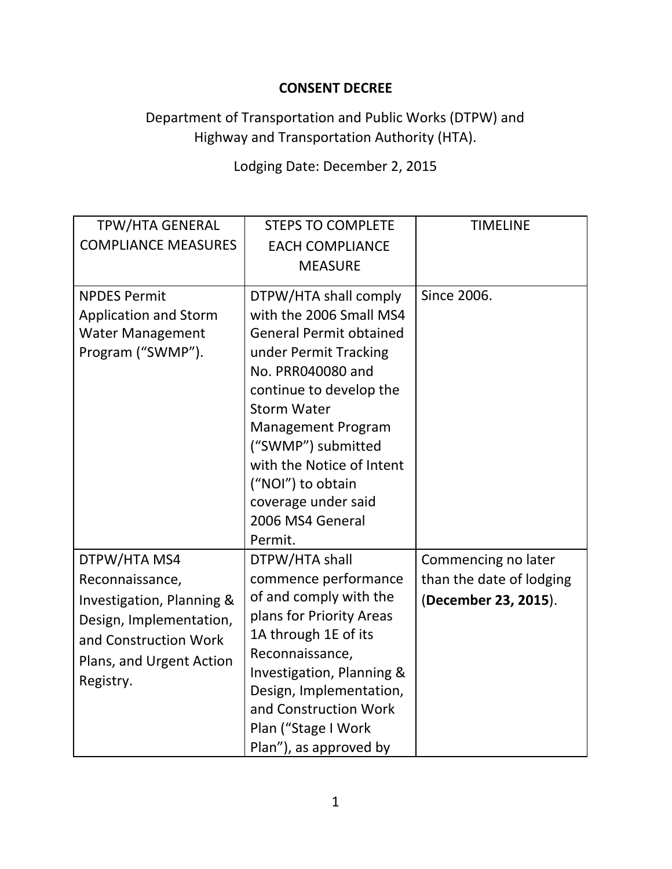## **CONSENT DECREE**

## Department of Transportation and Public Works (DTPW) and Highway and Transportation Authority (HTA).

## Lodging Date: December 2, 2015

| <b>TPW/HTA GENERAL</b><br><b>COMPLIANCE MEASURES</b>                                                                                                      | <b>STEPS TO COMPLETE</b><br><b>EACH COMPLIANCE</b><br><b>MEASURE</b>                                                                                                                                                                                                                                                                         | <b>TIMELINE</b>                                                         |
|-----------------------------------------------------------------------------------------------------------------------------------------------------------|----------------------------------------------------------------------------------------------------------------------------------------------------------------------------------------------------------------------------------------------------------------------------------------------------------------------------------------------|-------------------------------------------------------------------------|
| <b>NPDES Permit</b><br><b>Application and Storm</b><br><b>Water Management</b><br>Program ("SWMP").                                                       | DTPW/HTA shall comply<br>with the 2006 Small MS4<br><b>General Permit obtained</b><br>under Permit Tracking<br>No. PRR040080 and<br>continue to develop the<br><b>Storm Water</b><br><b>Management Program</b><br>("SWMP") submitted<br>with the Notice of Intent<br>("NOI") to obtain<br>coverage under said<br>2006 MS4 General<br>Permit. | Since 2006.                                                             |
| DTPW/HTA MS4<br>Reconnaissance,<br>Investigation, Planning &<br>Design, Implementation,<br>and Construction Work<br>Plans, and Urgent Action<br>Registry. | DTPW/HTA shall<br>commence performance<br>of and comply with the<br>plans for Priority Areas<br>1A through 1E of its<br>Reconnaissance,<br>Investigation, Planning &<br>Design, Implementation,<br>and Construction Work<br>Plan ("Stage I Work<br>Plan"), as approved by                                                                    | Commencing no later<br>than the date of lodging<br>(December 23, 2015). |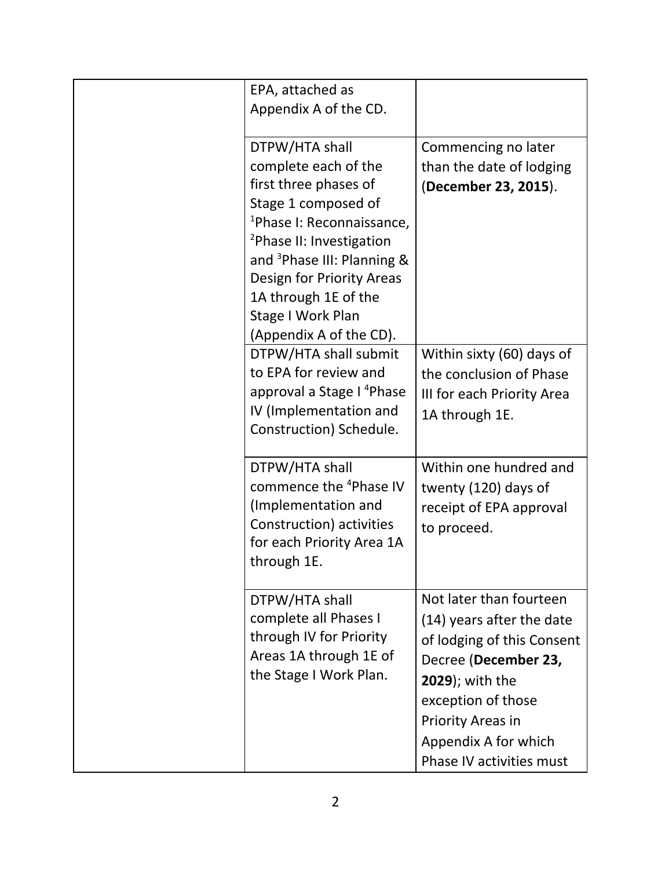| EPA, attached as<br>Appendix A of the CD.                                                                                                                                                                                                                                                                              |                                                                                                                                                                                                                                             |
|------------------------------------------------------------------------------------------------------------------------------------------------------------------------------------------------------------------------------------------------------------------------------------------------------------------------|---------------------------------------------------------------------------------------------------------------------------------------------------------------------------------------------------------------------------------------------|
| DTPW/HTA shall<br>complete each of the<br>first three phases of<br>Stage 1 composed of<br><sup>1</sup> Phase I: Reconnaissance,<br><sup>2</sup> Phase II: Investigation<br>and <sup>3</sup> Phase III: Planning &<br>Design for Priority Areas<br>1A through 1E of the<br>Stage I Work Plan<br>(Appendix A of the CD). | Commencing no later<br>than the date of lodging<br>(December 23, 2015).                                                                                                                                                                     |
| DTPW/HTA shall submit<br>to EPA for review and<br>approval a Stage I <sup>4</sup> Phase<br>IV (Implementation and<br>Construction) Schedule.                                                                                                                                                                           | Within sixty (60) days of<br>the conclusion of Phase<br>III for each Priority Area<br>1A through 1E.                                                                                                                                        |
| DTPW/HTA shall<br>commence the <sup>4</sup> Phase IV<br>(Implementation and<br>Construction) activities<br>for each Priority Area 1A<br>through 1E.                                                                                                                                                                    | Within one hundred and<br>twenty (120) days of<br>receipt of EPA approval<br>to proceed.                                                                                                                                                    |
| DTPW/HTA shall<br>complete all Phases I<br>through IV for Priority<br>Areas 1A through 1E of<br>the Stage I Work Plan.                                                                                                                                                                                                 | Not later than fourteen<br>(14) years after the date<br>of lodging of this Consent<br>Decree (December 23,<br><b>2029</b> ); with the<br>exception of those<br><b>Priority Areas in</b><br>Appendix A for which<br>Phase IV activities must |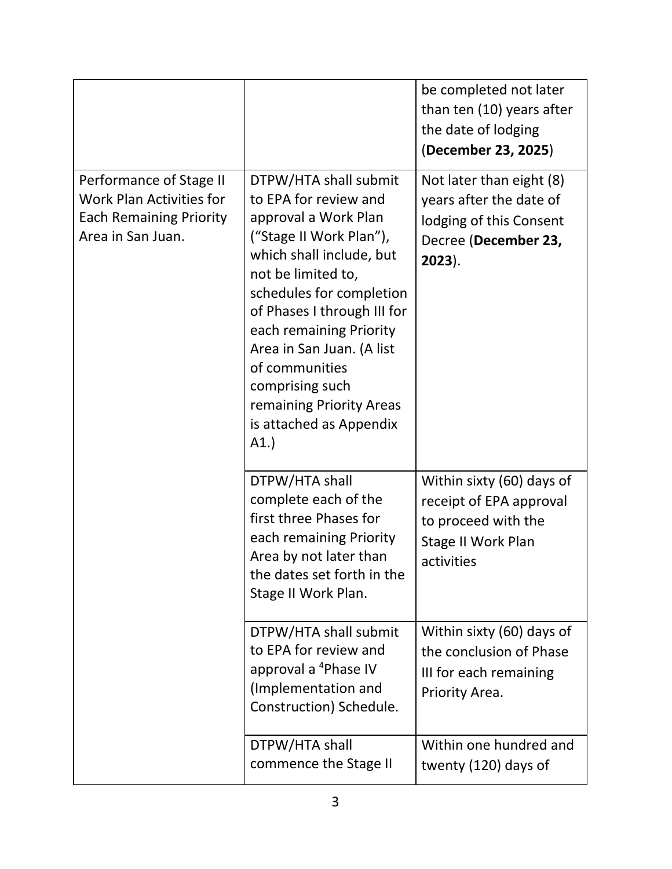|                                                                                                                   |                                                                                                                                                                                                                                                                                                                                                                           | be completed not later<br>than ten (10) years after<br>the date of lodging<br>(December 23, 2025)                      |
|-------------------------------------------------------------------------------------------------------------------|---------------------------------------------------------------------------------------------------------------------------------------------------------------------------------------------------------------------------------------------------------------------------------------------------------------------------------------------------------------------------|------------------------------------------------------------------------------------------------------------------------|
| Performance of Stage II<br><b>Work Plan Activities for</b><br><b>Each Remaining Priority</b><br>Area in San Juan. | DTPW/HTA shall submit<br>to EPA for review and<br>approval a Work Plan<br>("Stage II Work Plan"),<br>which shall include, but<br>not be limited to,<br>schedules for completion<br>of Phases I through III for<br>each remaining Priority<br>Area in San Juan. (A list<br>of communities<br>comprising such<br>remaining Priority Areas<br>is attached as Appendix<br>A1. | Not later than eight (8)<br>years after the date of<br>lodging of this Consent<br>Decree (December 23,<br>$2023$ ).    |
|                                                                                                                   | DTPW/HTA shall<br>complete each of the<br>first three Phases for<br>each remaining Priority<br>Area by not later than<br>the dates set forth in the<br>Stage II Work Plan.                                                                                                                                                                                                | Within sixty (60) days of<br>receipt of EPA approval<br>to proceed with the<br><b>Stage II Work Plan</b><br>activities |
|                                                                                                                   | DTPW/HTA shall submit<br>to EPA for review and<br>approval a <sup>4</sup> Phase IV<br>(Implementation and<br>Construction) Schedule.                                                                                                                                                                                                                                      | Within sixty (60) days of<br>the conclusion of Phase<br>III for each remaining<br>Priority Area.                       |
|                                                                                                                   | DTPW/HTA shall<br>commence the Stage II                                                                                                                                                                                                                                                                                                                                   | Within one hundred and<br>twenty (120) days of                                                                         |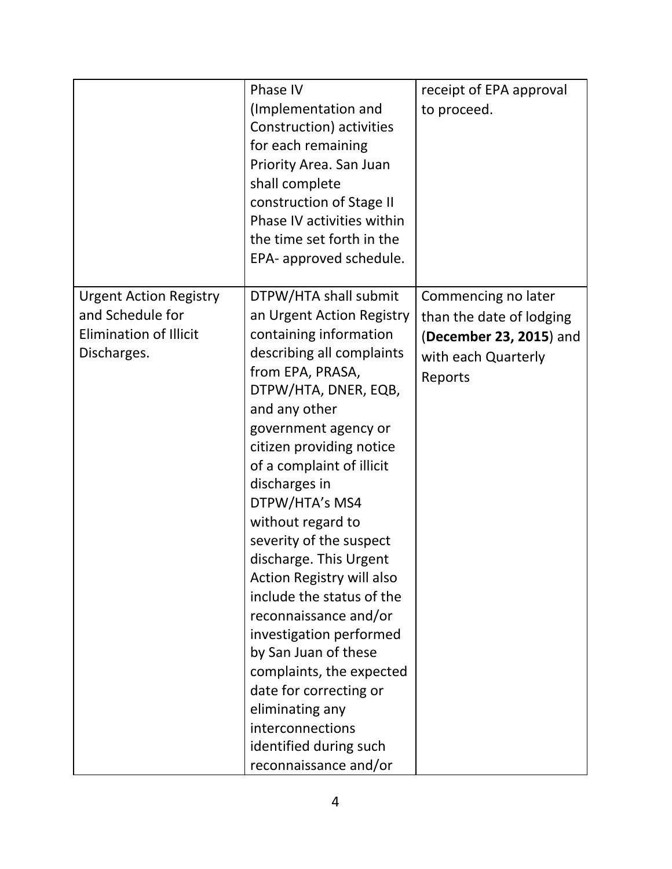|                                                                                                   | Phase IV<br>(Implementation and<br>Construction) activities<br>for each remaining<br>Priority Area. San Juan                                                                                                                                                                                                                                                                                                                                                                                                                                                                                                                                               | receipt of EPA approval<br>to proceed.                                                                       |
|---------------------------------------------------------------------------------------------------|------------------------------------------------------------------------------------------------------------------------------------------------------------------------------------------------------------------------------------------------------------------------------------------------------------------------------------------------------------------------------------------------------------------------------------------------------------------------------------------------------------------------------------------------------------------------------------------------------------------------------------------------------------|--------------------------------------------------------------------------------------------------------------|
|                                                                                                   | shall complete<br>construction of Stage II<br>Phase IV activities within<br>the time set forth in the<br>EPA- approved schedule.                                                                                                                                                                                                                                                                                                                                                                                                                                                                                                                           |                                                                                                              |
| <b>Urgent Action Registry</b><br>and Schedule for<br><b>Elimination of Illicit</b><br>Discharges. | DTPW/HTA shall submit<br>an Urgent Action Registry<br>containing information<br>describing all complaints<br>from EPA, PRASA,<br>DTPW/HTA, DNER, EQB,<br>and any other<br>government agency or<br>citizen providing notice<br>of a complaint of illicit<br>discharges in<br>DTPW/HTA's MS4<br>without regard to<br>severity of the suspect<br>discharge. This Urgent<br>Action Registry will also<br>include the status of the<br>reconnaissance and/or<br>investigation performed<br>by San Juan of these<br>complaints, the expected<br>date for correcting or<br>eliminating any<br>interconnections<br>identified during such<br>reconnaissance and/or | Commencing no later<br>than the date of lodging<br>(December 23, 2015) and<br>with each Quarterly<br>Reports |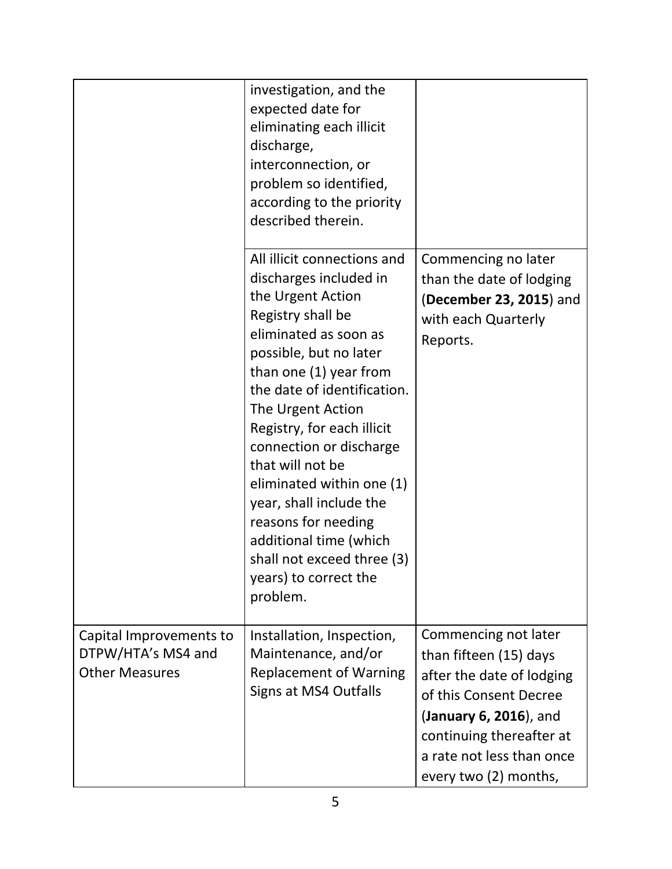|                                                                        | investigation, and the<br>expected date for<br>eliminating each illicit<br>discharge,<br>interconnection, or<br>problem so identified,<br>according to the priority<br>described therein.                                                                                                                                                                                                                                                                                                 |                                                                                                                                                                                                                   |
|------------------------------------------------------------------------|-------------------------------------------------------------------------------------------------------------------------------------------------------------------------------------------------------------------------------------------------------------------------------------------------------------------------------------------------------------------------------------------------------------------------------------------------------------------------------------------|-------------------------------------------------------------------------------------------------------------------------------------------------------------------------------------------------------------------|
|                                                                        | All illicit connections and<br>discharges included in<br>the Urgent Action<br>Registry shall be<br>eliminated as soon as<br>possible, but no later<br>than one (1) year from<br>the date of identification.<br>The Urgent Action<br>Registry, for each illicit<br>connection or discharge<br>that will not be<br>eliminated within one (1)<br>year, shall include the<br>reasons for needing<br>additional time (which<br>shall not exceed three (3)<br>years) to correct the<br>problem. | Commencing no later<br>than the date of lodging<br>(December 23, 2015) and<br>with each Quarterly<br>Reports.                                                                                                     |
| Capital Improvements to<br>DTPW/HTA's MS4 and<br><b>Other Measures</b> | Installation, Inspection,<br>Maintenance, and/or<br><b>Replacement of Warning</b><br>Signs at MS4 Outfalls                                                                                                                                                                                                                                                                                                                                                                                | Commencing not later<br>than fifteen (15) days<br>after the date of lodging<br>of this Consent Decree<br>(January 6, 2016), and<br>continuing thereafter at<br>a rate not less than once<br>every two (2) months, |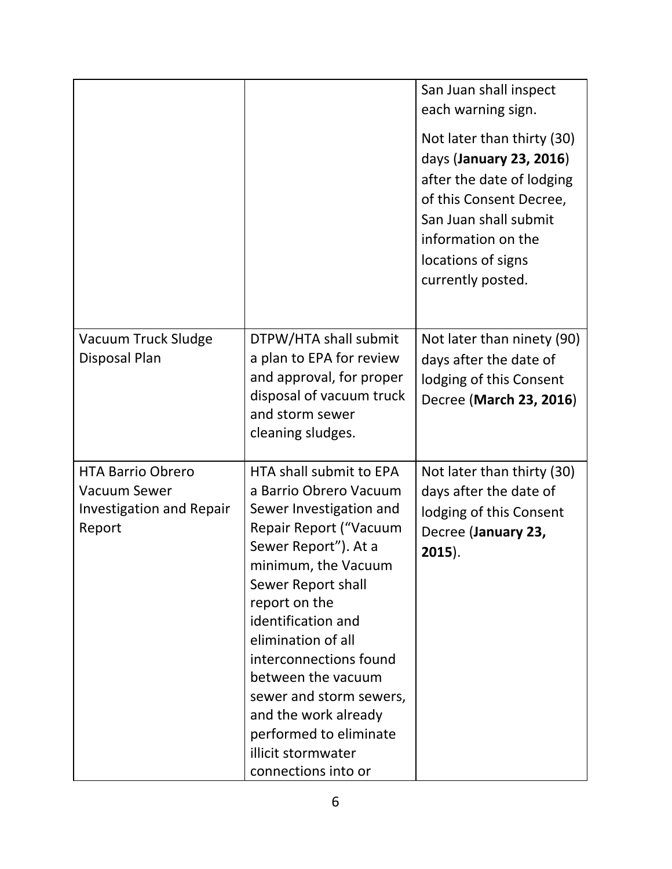|                                                                                              |                                                                                                                                                                                                                                                                                                                                                                                                                    | San Juan shall inspect<br>each warning sign.<br>Not later than thirty (30)<br>days (January 23, 2016)<br>after the date of lodging<br>of this Consent Decree,<br>San Juan shall submit<br>information on the<br>locations of signs<br>currently posted. |
|----------------------------------------------------------------------------------------------|--------------------------------------------------------------------------------------------------------------------------------------------------------------------------------------------------------------------------------------------------------------------------------------------------------------------------------------------------------------------------------------------------------------------|---------------------------------------------------------------------------------------------------------------------------------------------------------------------------------------------------------------------------------------------------------|
| Vacuum Truck Sludge<br>Disposal Plan                                                         | DTPW/HTA shall submit<br>a plan to EPA for review<br>and approval, for proper<br>disposal of vacuum truck<br>and storm sewer<br>cleaning sludges.                                                                                                                                                                                                                                                                  | Not later than ninety (90)<br>days after the date of<br>lodging of this Consent<br>Decree (March 23, 2016)                                                                                                                                              |
| <b>HTA Barrio Obrero</b><br><b>Vacuum Sewer</b><br><b>Investigation and Repair</b><br>Report | HTA shall submit to EPA<br>a Barrio Obrero Vacuum<br>Sewer Investigation and<br>Repair Report ("Vacuum<br>Sewer Report"). At a<br>minimum, the Vacuum<br>Sewer Report shall<br>report on the<br>identification and<br>elimination of all<br>interconnections found<br>between the vacuum<br>sewer and storm sewers,<br>and the work already<br>performed to eliminate<br>illicit stormwater<br>connections into or | Not later than thirty (30)<br>days after the date of<br>lodging of this Consent<br>Decree (January 23,<br>$2015$ ).                                                                                                                                     |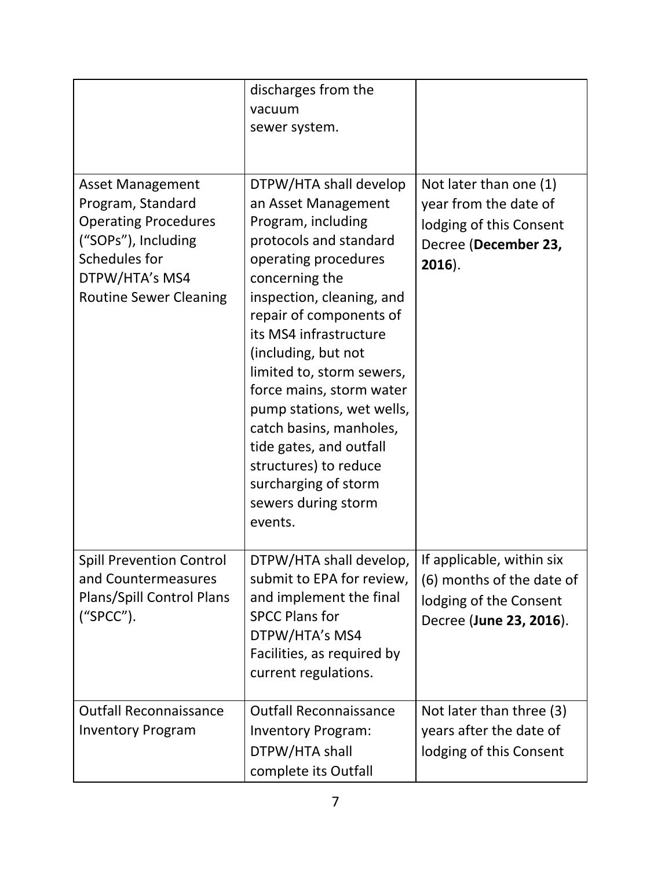|                                                                                                                                                                        | discharges from the<br>vacuum<br>sewer system.                                                                                                                                                                                                                                                                                                                                                                                                                                  |                                                                                                                 |
|------------------------------------------------------------------------------------------------------------------------------------------------------------------------|---------------------------------------------------------------------------------------------------------------------------------------------------------------------------------------------------------------------------------------------------------------------------------------------------------------------------------------------------------------------------------------------------------------------------------------------------------------------------------|-----------------------------------------------------------------------------------------------------------------|
| <b>Asset Management</b><br>Program, Standard<br><b>Operating Procedures</b><br>("SOPs"), Including<br>Schedules for<br>DTPW/HTA's MS4<br><b>Routine Sewer Cleaning</b> | DTPW/HTA shall develop<br>an Asset Management<br>Program, including<br>protocols and standard<br>operating procedures<br>concerning the<br>inspection, cleaning, and<br>repair of components of<br>its MS4 infrastructure<br>(including, but not<br>limited to, storm sewers,<br>force mains, storm water<br>pump stations, wet wells,<br>catch basins, manholes,<br>tide gates, and outfall<br>structures) to reduce<br>surcharging of storm<br>sewers during storm<br>events. | Not later than one (1)<br>year from the date of<br>lodging of this Consent<br>Decree (December 23,<br>$2016$ ). |
| <b>Spill Prevention Control</b><br>and Countermeasures<br>Plans/Spill Control Plans<br>("SPCC").                                                                       | DTPW/HTA shall develop,<br>submit to EPA for review,<br>and implement the final<br><b>SPCC Plans for</b><br>DTPW/HTA's MS4<br>Facilities, as required by<br>current regulations.                                                                                                                                                                                                                                                                                                | If applicable, within six<br>(6) months of the date of<br>lodging of the Consent<br>Decree (June 23, 2016).     |
| <b>Outfall Reconnaissance</b><br><b>Inventory Program</b>                                                                                                              | <b>Outfall Reconnaissance</b><br><b>Inventory Program:</b><br>DTPW/HTA shall<br>complete its Outfall                                                                                                                                                                                                                                                                                                                                                                            | Not later than three (3)<br>years after the date of<br>lodging of this Consent                                  |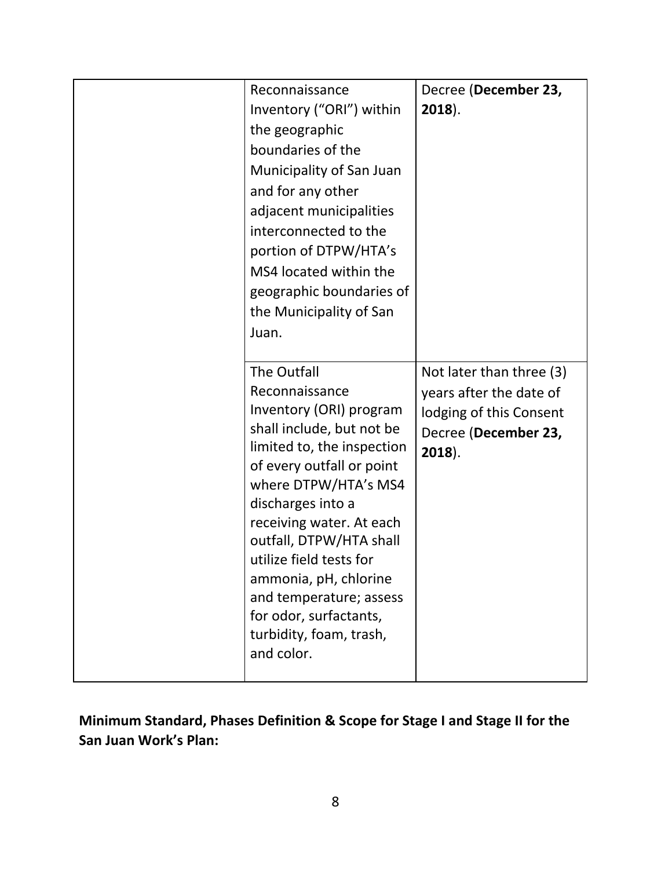| Reconnaissance<br>Inventory ("ORI") within<br>the geographic<br>boundaries of the<br>Municipality of San Juan<br>and for any other<br>adjacent municipalities<br>interconnected to the<br>portion of DTPW/HTA's<br>MS4 located within the<br>geographic boundaries of<br>the Municipality of San<br>Juan.                                                                                              | Decree (December 23,<br>$2018$ ).                                                                                   |
|--------------------------------------------------------------------------------------------------------------------------------------------------------------------------------------------------------------------------------------------------------------------------------------------------------------------------------------------------------------------------------------------------------|---------------------------------------------------------------------------------------------------------------------|
| The Outfall<br>Reconnaissance<br>Inventory (ORI) program<br>shall include, but not be<br>limited to, the inspection<br>of every outfall or point<br>where DTPW/HTA's MS4<br>discharges into a<br>receiving water. At each<br>outfall, DTPW/HTA shall<br>utilize field tests for<br>ammonia, pH, chlorine<br>and temperature; assess<br>for odor, surfactants,<br>turbidity, foam, trash,<br>and color. | Not later than three (3)<br>years after the date of<br>lodging of this Consent<br>Decree (December 23,<br>$2018$ ). |

**Minimum Standard, Phases Definition & Scope for Stage I and Stage II for the San Juan Work's Plan:**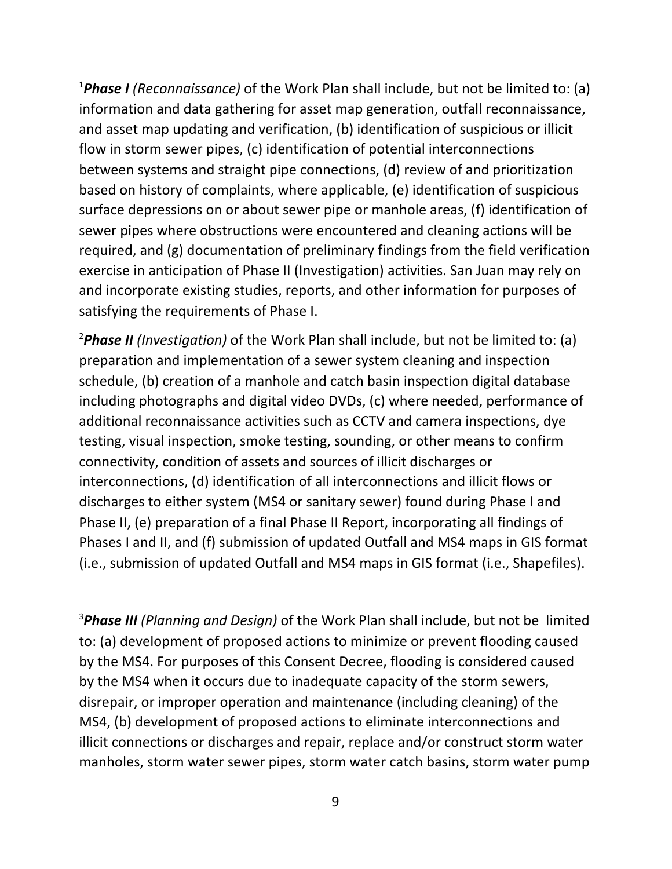<sup>1</sup>*Phase I (Reconnaissance)* of the Work Plan shall include, but not be limited to: (a) information and data gathering for asset map generation, outfall reconnaissance, and asset map updating and verification, (b) identification of suspicious or illicit flow in storm sewer pipes, (c) identification of potential interconnections between systems and straight pipe connections, (d) review of and prioritization based on history of complaints, where applicable, (e) identification of suspicious surface depressions on or about sewer pipe or manhole areas, (f) identification of sewer pipes where obstructions were encountered and cleaning actions will be required, and (g) documentation of preliminary findings from the field verification exercise in anticipation of Phase II (Investigation) activities. San Juan may rely on and incorporate existing studies, reports, and other information for purposes of satisfying the requirements of Phase I.

<sup>2</sup>*Phase II (Investigation)* of the Work Plan shall include, but not be limited to: (a) preparation and implementation of a sewer system cleaning and inspection schedule, (b) creation of a manhole and catch basin inspection digital database including photographs and digital video DVDs, (c) where needed, performance of additional reconnaissance activities such as CCTV and camera inspections, dye testing, visual inspection, smoke testing, sounding, or other means to confirm connectivity, condition of assets and sources of illicit discharges or interconnections, (d) identification of all interconnections and illicit flows or discharges to either system (MS4 or sanitary sewer) found during Phase I and Phase II, (e) preparation of a final Phase II Report, incorporating all findings of Phases I and II, and (f) submission of updated Outfall and MS4 maps in GIS format (i.e., submission of updated Outfall and MS4 maps in GIS format (i.e., Shapefiles).

<sup>3</sup>*Phase III (Planning and Design)* of the Work Plan shall include, but not be limited to: (a) development of proposed actions to minimize or prevent flooding caused by the MS4. For purposes of this Consent Decree, flooding is considered caused by the MS4 when it occurs due to inadequate capacity of the storm sewers, disrepair, or improper operation and maintenance (including cleaning) of the MS4, (b) development of proposed actions to eliminate interconnections and illicit connections or discharges and repair, replace and/or construct storm water manholes, storm water sewer pipes, storm water catch basins, storm water pump